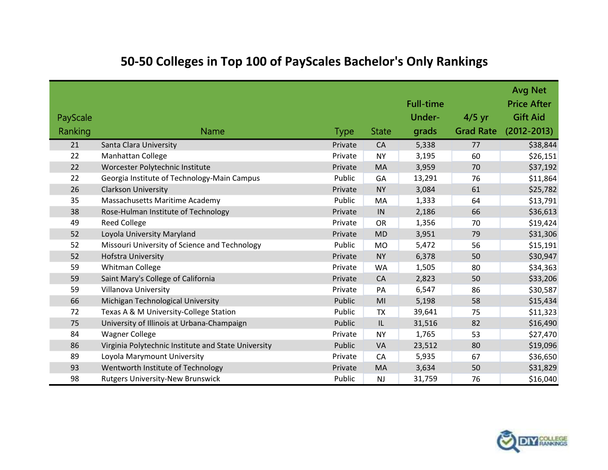| PayScale<br>Ranking | <b>Name</b>                                         | <b>Type</b> | <b>State</b>   | <b>Full-time</b><br>Under-<br>grads | $4/5$ yr<br><b>Grad Rate</b> | <b>Avg Net</b><br><b>Price After</b><br><b>Gift Aid</b><br>$(2012 - 2013)$ |
|---------------------|-----------------------------------------------------|-------------|----------------|-------------------------------------|------------------------------|----------------------------------------------------------------------------|
| 21                  | Santa Clara University                              | Private     | CA             | 5,338                               | 77                           | \$38,844                                                                   |
| 22                  | <b>Manhattan College</b>                            | Private     | <b>NY</b>      | 3,195                               | 60                           | \$26,151                                                                   |
| 22                  | Worcester Polytechnic Institute                     | Private     | MA             | 3,959                               | 70                           | \$37,192                                                                   |
| 22                  | Georgia Institute of Technology-Main Campus         | Public      | GA             | 13,291                              | 76                           | \$11,864                                                                   |
| 26                  | <b>Clarkson University</b>                          | Private     | <b>NY</b>      | 3,084                               | 61                           | \$25,782                                                                   |
| 35                  | Massachusetts Maritime Academy                      | Public      | MA             | 1,333                               | 64                           | \$13,791                                                                   |
| 38                  | Rose-Hulman Institute of Technology                 | Private     | IN             | 2,186                               | 66                           | \$36,613                                                                   |
| 49                  | <b>Reed College</b>                                 | Private     | <b>OR</b>      | 1,356                               | 70                           | \$19,424                                                                   |
| 52                  | Loyola University Maryland                          | Private     | <b>MD</b>      | 3,951                               | 79                           | \$31,306                                                                   |
| 52                  | Missouri University of Science and Technology       | Public      | <b>MO</b>      | 5,472                               | 56                           | \$15,191                                                                   |
| 52                  | <b>Hofstra University</b>                           | Private     | <b>NY</b>      | 6,378                               | 50                           | \$30,947                                                                   |
| 59                  | Whitman College                                     | Private     | <b>WA</b>      | 1,505                               | 80                           | \$34,363                                                                   |
| 59                  | Saint Mary's College of California                  | Private     | CA             | 2,823                               | 50                           | \$33,206                                                                   |
| 59                  | <b>Villanova University</b>                         | Private     | PA             | 6,547                               | 86                           | \$30,587                                                                   |
| 66                  | Michigan Technological University                   | Public      | M <sub>l</sub> | 5,198                               | 58                           | \$15,434                                                                   |
| 72                  | Texas A & M University-College Station              | Public      | <b>TX</b>      | 39,641                              | 75                           | \$11,323                                                                   |
| 75                  | University of Illinois at Urbana-Champaign          | Public      | IL             | 31,516                              | 82                           | \$16,490                                                                   |
| 84                  | <b>Wagner College</b>                               | Private     | <b>NY</b>      | 1,765                               | 53                           | \$27,470                                                                   |
| 86                  | Virginia Polytechnic Institute and State University | Public      | VA             | 23,512                              | 80                           | \$19,096                                                                   |
| 89                  | Loyola Marymount University                         | Private     | CA             | 5,935                               | 67                           | \$36,650                                                                   |
| 93                  | Wentworth Institute of Technology                   | Private     | MA             | 3,634                               | 50                           | \$31,829                                                                   |
| 98                  | <b>Rutgers University-New Brunswick</b>             | Public      | <b>NJ</b>      | 31,759                              | 76                           | \$16,040                                                                   |

## [50-50 Colleges in Top 100 of PayScales Bachelor's Only Rankings](http://wp.me/p1HfHP-3lf)